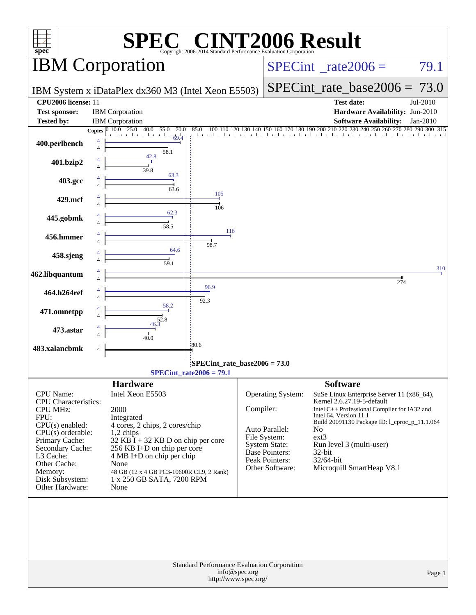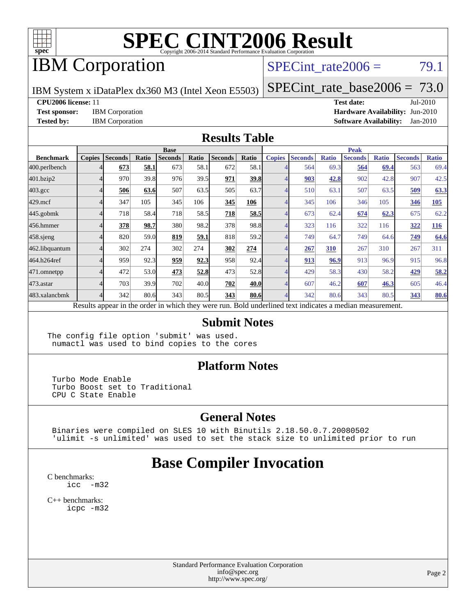

## IBM Corporation

SPECint rate $2006 = 79.1$ 

IBM System x iDataPlex dx360 M3 (Intel Xeon E5503)

[SPECint\\_rate\\_base2006 =](http://www.spec.org/auto/cpu2006/Docs/result-fields.html#SPECintratebase2006) 73.0

**[CPU2006 license:](http://www.spec.org/auto/cpu2006/Docs/result-fields.html#CPU2006license)** 11 **[Test date:](http://www.spec.org/auto/cpu2006/Docs/result-fields.html#Testdate)** Jul-2010

**[Test sponsor:](http://www.spec.org/auto/cpu2006/Docs/result-fields.html#Testsponsor)** IBM Corporation **[Hardware Availability:](http://www.spec.org/auto/cpu2006/Docs/result-fields.html#HardwareAvailability)** Jun-2010 **[Tested by:](http://www.spec.org/auto/cpu2006/Docs/result-fields.html#Testedby)** IBM Corporation **[Software Availability:](http://www.spec.org/auto/cpu2006/Docs/result-fields.html#SoftwareAvailability)** Jan-2010

#### **[Results Table](http://www.spec.org/auto/cpu2006/Docs/result-fields.html#ResultsTable)**

|                    | <b>Base</b>   |                |       |         |       |                |             | <b>Peak</b>   |                |              |                                                                                                          |              |                |              |
|--------------------|---------------|----------------|-------|---------|-------|----------------|-------------|---------------|----------------|--------------|----------------------------------------------------------------------------------------------------------|--------------|----------------|--------------|
| <b>Benchmark</b>   | <b>Copies</b> | <b>Seconds</b> | Ratio | Seconds | Ratio | <b>Seconds</b> | Ratio       | <b>Copies</b> | <b>Seconds</b> | <b>Ratio</b> | <b>Seconds</b>                                                                                           | <b>Ratio</b> | <b>Seconds</b> | <b>Ratio</b> |
| 400.perlbench      |               | 673            | 58.1  | 673     | 58.1  | 672            | 58.1        |               | 564            | 69.3         | 564                                                                                                      | 69.4         | 563            | 69.4         |
| 401.bzip2          |               | 970            | 39.8  | 976     | 39.5  | 971            | 39.8        |               | 903            | 42.8         | 902                                                                                                      | 42.8         | 907            | 42.5         |
| $403.\mathrm{gcc}$ |               | 506            | 63.6  | 507     | 63.5  | 505            | 63.7        |               | 510            | 63.1         | 507                                                                                                      | 63.5         | 509            | 63.3         |
| $429$ .mcf         |               | 347            | 105   | 345     | 106   | 345            | 106         |               | 345            | 106          | 346                                                                                                      | 105          | 346            | 105          |
| $445$ .gobm $k$    |               | 718            | 58.4  | 718     | 58.5  | 718            | <u>58.5</u> |               | 673            | 62.4         | 674                                                                                                      | 62.3         | 675            | 62.2         |
| 456.hmmer          |               | 378            | 98.7  | 380     | 98.2  | 378            | 98.8        |               | 323            | 116          | 322                                                                                                      | 116          | 322            | <u>116</u>   |
| $458$ .sjeng       |               | 820            | 59.0  | 819     | 59.1  | 818            | 59.2        |               | 749            | 64.7         | 749                                                                                                      | 64.6         | 749            | 64.6         |
| 462.libquantum     |               | 302            | 274   | 302     | 274   | 302            | 274         |               | 267            | 310          | 267                                                                                                      | 310          | 267            | 311          |
| 464.h264ref        |               | 959            | 92.3  | 959     | 92.3  | 958            | 92.4        |               | 913            | 96.9         | 913                                                                                                      | 96.9         | 915            | 96.8         |
| 471.omnetpp        |               | 472            | 53.0  | 473     | 52.8  | 473            | 52.8        |               | 429            | 58.3         | 430                                                                                                      | 58.2         | 429            | 58.2         |
| 473.astar          |               | 703            | 39.9  | 702     | 40.0  | 702            | 40.0        |               | 607            | 46.2         | 607                                                                                                      | 46.3         | 605            | 46.4         |
| 483.xalancbmk      |               | 342            | 80.6  | 343     | 80.5  | 343            | 80.6        |               | 342            | 80.6         | 343                                                                                                      | 80.5         | 343            | 80.6         |
|                    |               |                |       |         |       |                |             |               |                |              | Results appear in the order in which they were run. Bold underlined text indicates a median measurement. |              |                |              |

#### **[Submit Notes](http://www.spec.org/auto/cpu2006/Docs/result-fields.html#SubmitNotes)**

The config file option 'submit' was used. numactl was used to bind copies to the cores

#### **[Platform Notes](http://www.spec.org/auto/cpu2006/Docs/result-fields.html#PlatformNotes)**

 Turbo Mode Enable Turbo Boost set to Traditional CPU C State Enable

#### **[General Notes](http://www.spec.org/auto/cpu2006/Docs/result-fields.html#GeneralNotes)**

 Binaries were compiled on SLES 10 with Binutils 2.18.50.0.7.20080502 'ulimit -s unlimited' was used to set the stack size to unlimited prior to run

### **[Base Compiler Invocation](http://www.spec.org/auto/cpu2006/Docs/result-fields.html#BaseCompilerInvocation)**

[C benchmarks](http://www.spec.org/auto/cpu2006/Docs/result-fields.html#Cbenchmarks): [icc -m32](http://www.spec.org/cpu2006/results/res2010q3/cpu2006-20100802-12715.flags.html#user_CCbase_intel_icc_32bit_5ff4a39e364c98233615fdd38438c6f2)

[C++ benchmarks:](http://www.spec.org/auto/cpu2006/Docs/result-fields.html#CXXbenchmarks) [icpc -m32](http://www.spec.org/cpu2006/results/res2010q3/cpu2006-20100802-12715.flags.html#user_CXXbase_intel_icpc_32bit_4e5a5ef1a53fd332b3c49e69c3330699)

> Standard Performance Evaluation Corporation [info@spec.org](mailto:info@spec.org) <http://www.spec.org/>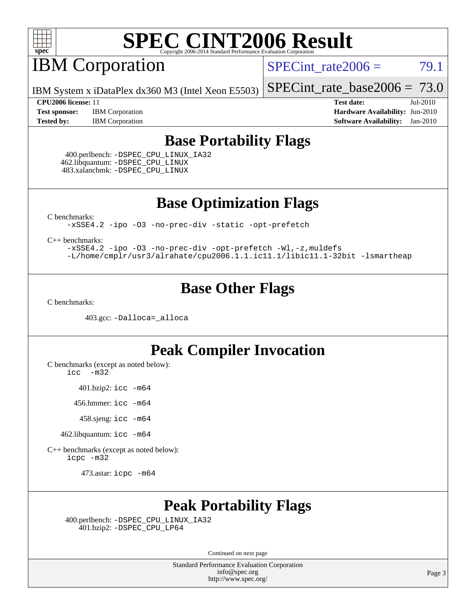

# **IBM Corporation**

SPECint rate $2006 = 79.1$ 

IBM System x iDataPlex dx360 M3 (Intel Xeon E5503)

[SPECint\\_rate\\_base2006 =](http://www.spec.org/auto/cpu2006/Docs/result-fields.html#SPECintratebase2006)  $73.0$ 

**[Test sponsor:](http://www.spec.org/auto/cpu2006/Docs/result-fields.html#Testsponsor)** IBM Corporation **[Hardware Availability:](http://www.spec.org/auto/cpu2006/Docs/result-fields.html#HardwareAvailability)** Jun-2010 **[Tested by:](http://www.spec.org/auto/cpu2006/Docs/result-fields.html#Testedby)** IBM Corporation **[Software Availability:](http://www.spec.org/auto/cpu2006/Docs/result-fields.html#SoftwareAvailability)** Jan-2010

**[CPU2006 license:](http://www.spec.org/auto/cpu2006/Docs/result-fields.html#CPU2006license)** 11 **[Test date:](http://www.spec.org/auto/cpu2006/Docs/result-fields.html#Testdate)** Jul-2010

### **[Base Portability Flags](http://www.spec.org/auto/cpu2006/Docs/result-fields.html#BasePortabilityFlags)**

 400.perlbench: [-DSPEC\\_CPU\\_LINUX\\_IA32](http://www.spec.org/cpu2006/results/res2010q3/cpu2006-20100802-12715.flags.html#b400.perlbench_baseCPORTABILITY_DSPEC_CPU_LINUX_IA32) 462.libquantum: [-DSPEC\\_CPU\\_LINUX](http://www.spec.org/cpu2006/results/res2010q3/cpu2006-20100802-12715.flags.html#b462.libquantum_baseCPORTABILITY_DSPEC_CPU_LINUX) 483.xalancbmk: [-DSPEC\\_CPU\\_LINUX](http://www.spec.org/cpu2006/results/res2010q3/cpu2006-20100802-12715.flags.html#b483.xalancbmk_baseCXXPORTABILITY_DSPEC_CPU_LINUX)

**[Base Optimization Flags](http://www.spec.org/auto/cpu2006/Docs/result-fields.html#BaseOptimizationFlags)**

[C benchmarks](http://www.spec.org/auto/cpu2006/Docs/result-fields.html#Cbenchmarks):

[-xSSE4.2](http://www.spec.org/cpu2006/results/res2010q3/cpu2006-20100802-12715.flags.html#user_CCbase_f-xSSE42_f91528193cf0b216347adb8b939d4107) [-ipo](http://www.spec.org/cpu2006/results/res2010q3/cpu2006-20100802-12715.flags.html#user_CCbase_f-ipo) [-O3](http://www.spec.org/cpu2006/results/res2010q3/cpu2006-20100802-12715.flags.html#user_CCbase_f-O3) [-no-prec-div](http://www.spec.org/cpu2006/results/res2010q3/cpu2006-20100802-12715.flags.html#user_CCbase_f-no-prec-div) [-static](http://www.spec.org/cpu2006/results/res2010q3/cpu2006-20100802-12715.flags.html#user_CCbase_f-static) [-opt-prefetch](http://www.spec.org/cpu2006/results/res2010q3/cpu2006-20100802-12715.flags.html#user_CCbase_f-opt-prefetch)

[C++ benchmarks:](http://www.spec.org/auto/cpu2006/Docs/result-fields.html#CXXbenchmarks)

[-xSSE4.2](http://www.spec.org/cpu2006/results/res2010q3/cpu2006-20100802-12715.flags.html#user_CXXbase_f-xSSE42_f91528193cf0b216347adb8b939d4107) [-ipo](http://www.spec.org/cpu2006/results/res2010q3/cpu2006-20100802-12715.flags.html#user_CXXbase_f-ipo) [-O3](http://www.spec.org/cpu2006/results/res2010q3/cpu2006-20100802-12715.flags.html#user_CXXbase_f-O3) [-no-prec-div](http://www.spec.org/cpu2006/results/res2010q3/cpu2006-20100802-12715.flags.html#user_CXXbase_f-no-prec-div) [-opt-prefetch](http://www.spec.org/cpu2006/results/res2010q3/cpu2006-20100802-12715.flags.html#user_CXXbase_f-opt-prefetch) [-Wl,-z,muldefs](http://www.spec.org/cpu2006/results/res2010q3/cpu2006-20100802-12715.flags.html#user_CXXbase_link_force_multiple1_74079c344b956b9658436fd1b6dd3a8a) [-L/home/cmplr/usr3/alrahate/cpu2006.1.1.ic11.1/libic11.1-32bit -lsmartheap](http://www.spec.org/cpu2006/results/res2010q3/cpu2006-20100802-12715.flags.html#user_CXXbase_SmartHeap_d86dffe4a79b79ef8890d5cce17030c3)

### **[Base Other Flags](http://www.spec.org/auto/cpu2006/Docs/result-fields.html#BaseOtherFlags)**

[C benchmarks](http://www.spec.org/auto/cpu2006/Docs/result-fields.html#Cbenchmarks):

403.gcc: [-Dalloca=\\_alloca](http://www.spec.org/cpu2006/results/res2010q3/cpu2006-20100802-12715.flags.html#b403.gcc_baseEXTRA_CFLAGS_Dalloca_be3056838c12de2578596ca5467af7f3)

### **[Peak Compiler Invocation](http://www.spec.org/auto/cpu2006/Docs/result-fields.html#PeakCompilerInvocation)**

[C benchmarks \(except as noted below\)](http://www.spec.org/auto/cpu2006/Docs/result-fields.html#Cbenchmarksexceptasnotedbelow):

[icc -m32](http://www.spec.org/cpu2006/results/res2010q3/cpu2006-20100802-12715.flags.html#user_CCpeak_intel_icc_32bit_5ff4a39e364c98233615fdd38438c6f2)

401.bzip2: [icc -m64](http://www.spec.org/cpu2006/results/res2010q3/cpu2006-20100802-12715.flags.html#user_peakCCLD401_bzip2_intel_icc_64bit_bda6cc9af1fdbb0edc3795bac97ada53)

456.hmmer: [icc -m64](http://www.spec.org/cpu2006/results/res2010q3/cpu2006-20100802-12715.flags.html#user_peakCCLD456_hmmer_intel_icc_64bit_bda6cc9af1fdbb0edc3795bac97ada53)

458.sjeng: [icc -m64](http://www.spec.org/cpu2006/results/res2010q3/cpu2006-20100802-12715.flags.html#user_peakCCLD458_sjeng_intel_icc_64bit_bda6cc9af1fdbb0edc3795bac97ada53)

462.libquantum: [icc -m64](http://www.spec.org/cpu2006/results/res2010q3/cpu2006-20100802-12715.flags.html#user_peakCCLD462_libquantum_intel_icc_64bit_bda6cc9af1fdbb0edc3795bac97ada53)

[C++ benchmarks \(except as noted below\):](http://www.spec.org/auto/cpu2006/Docs/result-fields.html#CXXbenchmarksexceptasnotedbelow) [icpc -m32](http://www.spec.org/cpu2006/results/res2010q3/cpu2006-20100802-12715.flags.html#user_CXXpeak_intel_icpc_32bit_4e5a5ef1a53fd332b3c49e69c3330699)

473.astar: [icpc -m64](http://www.spec.org/cpu2006/results/res2010q3/cpu2006-20100802-12715.flags.html#user_peakCXXLD473_astar_intel_icpc_64bit_fc66a5337ce925472a5c54ad6a0de310)

### **[Peak Portability Flags](http://www.spec.org/auto/cpu2006/Docs/result-fields.html#PeakPortabilityFlags)**

 400.perlbench: [-DSPEC\\_CPU\\_LINUX\\_IA32](http://www.spec.org/cpu2006/results/res2010q3/cpu2006-20100802-12715.flags.html#b400.perlbench_peakCPORTABILITY_DSPEC_CPU_LINUX_IA32) 401.bzip2: [-DSPEC\\_CPU\\_LP64](http://www.spec.org/cpu2006/results/res2010q3/cpu2006-20100802-12715.flags.html#suite_peakCPORTABILITY401_bzip2_DSPEC_CPU_LP64)

Continued on next page

Standard Performance Evaluation Corporation [info@spec.org](mailto:info@spec.org) <http://www.spec.org/>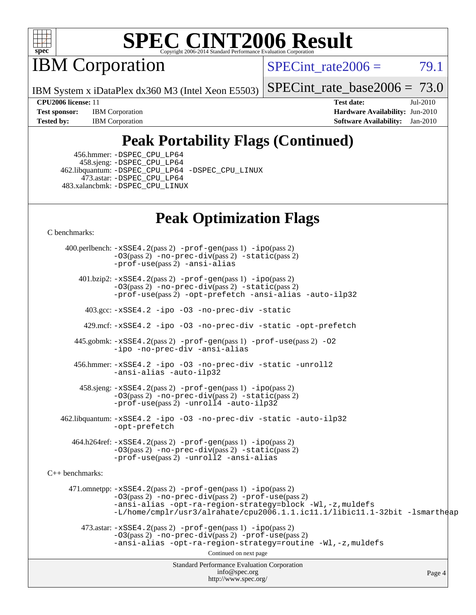

IBM Corporation

SPECint rate $2006 = 79.1$ 

IBM System x iDataPlex dx360 M3 (Intel Xeon E5503)

[SPECint\\_rate\\_base2006 =](http://www.spec.org/auto/cpu2006/Docs/result-fields.html#SPECintratebase2006)  $73.0$ 

**[Test sponsor:](http://www.spec.org/auto/cpu2006/Docs/result-fields.html#Testsponsor)** IBM Corporation **[Hardware Availability:](http://www.spec.org/auto/cpu2006/Docs/result-fields.html#HardwareAvailability)** Jun-2010 **[Tested by:](http://www.spec.org/auto/cpu2006/Docs/result-fields.html#Testedby)** IBM Corporation **[Software Availability:](http://www.spec.org/auto/cpu2006/Docs/result-fields.html#SoftwareAvailability)** Jan-2010

**[CPU2006 license:](http://www.spec.org/auto/cpu2006/Docs/result-fields.html#CPU2006license)** 11 **[Test date:](http://www.spec.org/auto/cpu2006/Docs/result-fields.html#Testdate)** Jul-2010

## **[Peak Portability Flags \(Continued\)](http://www.spec.org/auto/cpu2006/Docs/result-fields.html#PeakPortabilityFlags)**

 456.hmmer: [-DSPEC\\_CPU\\_LP64](http://www.spec.org/cpu2006/results/res2010q3/cpu2006-20100802-12715.flags.html#suite_peakCPORTABILITY456_hmmer_DSPEC_CPU_LP64) 458.sjeng: [-DSPEC\\_CPU\\_LP64](http://www.spec.org/cpu2006/results/res2010q3/cpu2006-20100802-12715.flags.html#suite_peakCPORTABILITY458_sjeng_DSPEC_CPU_LP64) 462.libquantum: [-DSPEC\\_CPU\\_LP64](http://www.spec.org/cpu2006/results/res2010q3/cpu2006-20100802-12715.flags.html#suite_peakCPORTABILITY462_libquantum_DSPEC_CPU_LP64) [-DSPEC\\_CPU\\_LINUX](http://www.spec.org/cpu2006/results/res2010q3/cpu2006-20100802-12715.flags.html#b462.libquantum_peakCPORTABILITY_DSPEC_CPU_LINUX) 473.astar: [-DSPEC\\_CPU\\_LP64](http://www.spec.org/cpu2006/results/res2010q3/cpu2006-20100802-12715.flags.html#suite_peakCXXPORTABILITY473_astar_DSPEC_CPU_LP64) 483.xalancbmk: [-DSPEC\\_CPU\\_LINUX](http://www.spec.org/cpu2006/results/res2010q3/cpu2006-20100802-12715.flags.html#b483.xalancbmk_peakCXXPORTABILITY_DSPEC_CPU_LINUX)

## **[Peak Optimization Flags](http://www.spec.org/auto/cpu2006/Docs/result-fields.html#PeakOptimizationFlags)**

[C benchmarks](http://www.spec.org/auto/cpu2006/Docs/result-fields.html#Cbenchmarks):

Standard Performance Evaluation Corporation [info@spec.org](mailto:info@spec.org) <http://www.spec.org/> Page 4 400.perlbench: [-xSSE4.2](http://www.spec.org/cpu2006/results/res2010q3/cpu2006-20100802-12715.flags.html#user_peakPASS2_CFLAGSPASS2_LDCFLAGS400_perlbench_f-xSSE42_f91528193cf0b216347adb8b939d4107)(pass 2) [-prof-gen](http://www.spec.org/cpu2006/results/res2010q3/cpu2006-20100802-12715.flags.html#user_peakPASS1_CFLAGSPASS1_LDCFLAGS400_perlbench_prof_gen_e43856698f6ca7b7e442dfd80e94a8fc)(pass 1) [-ipo](http://www.spec.org/cpu2006/results/res2010q3/cpu2006-20100802-12715.flags.html#user_peakPASS2_CFLAGSPASS2_LDCFLAGS400_perlbench_f-ipo)(pass 2) [-O3](http://www.spec.org/cpu2006/results/res2010q3/cpu2006-20100802-12715.flags.html#user_peakPASS2_CFLAGSPASS2_LDCFLAGS400_perlbench_f-O3)(pass 2) [-no-prec-div](http://www.spec.org/cpu2006/results/res2010q3/cpu2006-20100802-12715.flags.html#user_peakPASS2_CFLAGSPASS2_LDCFLAGS400_perlbench_f-no-prec-div)(pass 2) [-static](http://www.spec.org/cpu2006/results/res2010q3/cpu2006-20100802-12715.flags.html#user_peakPASS2_CFLAGSPASS2_LDCFLAGS400_perlbench_f-static)(pass 2) [-prof-use](http://www.spec.org/cpu2006/results/res2010q3/cpu2006-20100802-12715.flags.html#user_peakPASS2_CFLAGSPASS2_LDCFLAGS400_perlbench_prof_use_bccf7792157ff70d64e32fe3e1250b55)(pass 2) [-ansi-alias](http://www.spec.org/cpu2006/results/res2010q3/cpu2006-20100802-12715.flags.html#user_peakCOPTIMIZE400_perlbench_f-ansi-alias) 401.bzip2: [-xSSE4.2](http://www.spec.org/cpu2006/results/res2010q3/cpu2006-20100802-12715.flags.html#user_peakPASS2_CFLAGSPASS2_LDCFLAGS401_bzip2_f-xSSE42_f91528193cf0b216347adb8b939d4107)(pass 2) [-prof-gen](http://www.spec.org/cpu2006/results/res2010q3/cpu2006-20100802-12715.flags.html#user_peakPASS1_CFLAGSPASS1_LDCFLAGS401_bzip2_prof_gen_e43856698f6ca7b7e442dfd80e94a8fc)(pass 1) [-ipo](http://www.spec.org/cpu2006/results/res2010q3/cpu2006-20100802-12715.flags.html#user_peakPASS2_CFLAGSPASS2_LDCFLAGS401_bzip2_f-ipo)(pass 2) [-O3](http://www.spec.org/cpu2006/results/res2010q3/cpu2006-20100802-12715.flags.html#user_peakPASS2_CFLAGSPASS2_LDCFLAGS401_bzip2_f-O3)(pass 2) [-no-prec-div](http://www.spec.org/cpu2006/results/res2010q3/cpu2006-20100802-12715.flags.html#user_peakPASS2_CFLAGSPASS2_LDCFLAGS401_bzip2_f-no-prec-div)(pass 2) [-static](http://www.spec.org/cpu2006/results/res2010q3/cpu2006-20100802-12715.flags.html#user_peakPASS2_CFLAGSPASS2_LDCFLAGS401_bzip2_f-static)(pass 2) [-prof-use](http://www.spec.org/cpu2006/results/res2010q3/cpu2006-20100802-12715.flags.html#user_peakPASS2_CFLAGSPASS2_LDCFLAGS401_bzip2_prof_use_bccf7792157ff70d64e32fe3e1250b55)(pass 2) [-opt-prefetch](http://www.spec.org/cpu2006/results/res2010q3/cpu2006-20100802-12715.flags.html#user_peakCOPTIMIZE401_bzip2_f-opt-prefetch) [-ansi-alias](http://www.spec.org/cpu2006/results/res2010q3/cpu2006-20100802-12715.flags.html#user_peakCOPTIMIZE401_bzip2_f-ansi-alias) [-auto-ilp32](http://www.spec.org/cpu2006/results/res2010q3/cpu2006-20100802-12715.flags.html#user_peakCOPTIMIZE401_bzip2_f-auto-ilp32) 403.gcc: [-xSSE4.2](http://www.spec.org/cpu2006/results/res2010q3/cpu2006-20100802-12715.flags.html#user_peakCOPTIMIZE403_gcc_f-xSSE42_f91528193cf0b216347adb8b939d4107) [-ipo](http://www.spec.org/cpu2006/results/res2010q3/cpu2006-20100802-12715.flags.html#user_peakCOPTIMIZE403_gcc_f-ipo) [-O3](http://www.spec.org/cpu2006/results/res2010q3/cpu2006-20100802-12715.flags.html#user_peakCOPTIMIZE403_gcc_f-O3) [-no-prec-div](http://www.spec.org/cpu2006/results/res2010q3/cpu2006-20100802-12715.flags.html#user_peakCOPTIMIZE403_gcc_f-no-prec-div) [-static](http://www.spec.org/cpu2006/results/res2010q3/cpu2006-20100802-12715.flags.html#user_peakCOPTIMIZE403_gcc_f-static) 429.mcf: [-xSSE4.2](http://www.spec.org/cpu2006/results/res2010q3/cpu2006-20100802-12715.flags.html#user_peakCOPTIMIZE429_mcf_f-xSSE42_f91528193cf0b216347adb8b939d4107) [-ipo](http://www.spec.org/cpu2006/results/res2010q3/cpu2006-20100802-12715.flags.html#user_peakCOPTIMIZE429_mcf_f-ipo) [-O3](http://www.spec.org/cpu2006/results/res2010q3/cpu2006-20100802-12715.flags.html#user_peakCOPTIMIZE429_mcf_f-O3) [-no-prec-div](http://www.spec.org/cpu2006/results/res2010q3/cpu2006-20100802-12715.flags.html#user_peakCOPTIMIZE429_mcf_f-no-prec-div) [-static](http://www.spec.org/cpu2006/results/res2010q3/cpu2006-20100802-12715.flags.html#user_peakCOPTIMIZE429_mcf_f-static) [-opt-prefetch](http://www.spec.org/cpu2006/results/res2010q3/cpu2006-20100802-12715.flags.html#user_peakCOPTIMIZE429_mcf_f-opt-prefetch) 445.gobmk: [-xSSE4.2](http://www.spec.org/cpu2006/results/res2010q3/cpu2006-20100802-12715.flags.html#user_peakPASS2_CFLAGSPASS2_LDCFLAGS445_gobmk_f-xSSE42_f91528193cf0b216347adb8b939d4107)(pass 2) [-prof-gen](http://www.spec.org/cpu2006/results/res2010q3/cpu2006-20100802-12715.flags.html#user_peakPASS1_CFLAGSPASS1_LDCFLAGS445_gobmk_prof_gen_e43856698f6ca7b7e442dfd80e94a8fc)(pass 1) [-prof-use](http://www.spec.org/cpu2006/results/res2010q3/cpu2006-20100802-12715.flags.html#user_peakPASS2_CFLAGSPASS2_LDCFLAGS445_gobmk_prof_use_bccf7792157ff70d64e32fe3e1250b55)(pass 2) [-O2](http://www.spec.org/cpu2006/results/res2010q3/cpu2006-20100802-12715.flags.html#user_peakCOPTIMIZE445_gobmk_f-O2) [-ipo](http://www.spec.org/cpu2006/results/res2010q3/cpu2006-20100802-12715.flags.html#user_peakCOPTIMIZE445_gobmk_f-ipo) [-no-prec-div](http://www.spec.org/cpu2006/results/res2010q3/cpu2006-20100802-12715.flags.html#user_peakCOPTIMIZE445_gobmk_f-no-prec-div) [-ansi-alias](http://www.spec.org/cpu2006/results/res2010q3/cpu2006-20100802-12715.flags.html#user_peakCOPTIMIZE445_gobmk_f-ansi-alias) 456.hmmer: [-xSSE4.2](http://www.spec.org/cpu2006/results/res2010q3/cpu2006-20100802-12715.flags.html#user_peakCOPTIMIZE456_hmmer_f-xSSE42_f91528193cf0b216347adb8b939d4107) [-ipo](http://www.spec.org/cpu2006/results/res2010q3/cpu2006-20100802-12715.flags.html#user_peakCOPTIMIZE456_hmmer_f-ipo) [-O3](http://www.spec.org/cpu2006/results/res2010q3/cpu2006-20100802-12715.flags.html#user_peakCOPTIMIZE456_hmmer_f-O3) [-no-prec-div](http://www.spec.org/cpu2006/results/res2010q3/cpu2006-20100802-12715.flags.html#user_peakCOPTIMIZE456_hmmer_f-no-prec-div) [-static](http://www.spec.org/cpu2006/results/res2010q3/cpu2006-20100802-12715.flags.html#user_peakCOPTIMIZE456_hmmer_f-static) [-unroll2](http://www.spec.org/cpu2006/results/res2010q3/cpu2006-20100802-12715.flags.html#user_peakCOPTIMIZE456_hmmer_f-unroll_784dae83bebfb236979b41d2422d7ec2) [-ansi-alias](http://www.spec.org/cpu2006/results/res2010q3/cpu2006-20100802-12715.flags.html#user_peakCOPTIMIZE456_hmmer_f-ansi-alias) [-auto-ilp32](http://www.spec.org/cpu2006/results/res2010q3/cpu2006-20100802-12715.flags.html#user_peakCOPTIMIZE456_hmmer_f-auto-ilp32) 458.sjeng: [-xSSE4.2](http://www.spec.org/cpu2006/results/res2010q3/cpu2006-20100802-12715.flags.html#user_peakPASS2_CFLAGSPASS2_LDCFLAGS458_sjeng_f-xSSE42_f91528193cf0b216347adb8b939d4107)(pass 2) [-prof-gen](http://www.spec.org/cpu2006/results/res2010q3/cpu2006-20100802-12715.flags.html#user_peakPASS1_CFLAGSPASS1_LDCFLAGS458_sjeng_prof_gen_e43856698f6ca7b7e442dfd80e94a8fc)(pass 1) [-ipo](http://www.spec.org/cpu2006/results/res2010q3/cpu2006-20100802-12715.flags.html#user_peakPASS2_CFLAGSPASS2_LDCFLAGS458_sjeng_f-ipo)(pass 2) [-O3](http://www.spec.org/cpu2006/results/res2010q3/cpu2006-20100802-12715.flags.html#user_peakPASS2_CFLAGSPASS2_LDCFLAGS458_sjeng_f-O3)(pass 2) [-no-prec-div](http://www.spec.org/cpu2006/results/res2010q3/cpu2006-20100802-12715.flags.html#user_peakPASS2_CFLAGSPASS2_LDCFLAGS458_sjeng_f-no-prec-div)(pass 2) [-static](http://www.spec.org/cpu2006/results/res2010q3/cpu2006-20100802-12715.flags.html#user_peakPASS2_CFLAGSPASS2_LDCFLAGS458_sjeng_f-static)(pass 2) [-prof-use](http://www.spec.org/cpu2006/results/res2010q3/cpu2006-20100802-12715.flags.html#user_peakPASS2_CFLAGSPASS2_LDCFLAGS458_sjeng_prof_use_bccf7792157ff70d64e32fe3e1250b55)(pass 2) [-unroll4](http://www.spec.org/cpu2006/results/res2010q3/cpu2006-20100802-12715.flags.html#user_peakCOPTIMIZE458_sjeng_f-unroll_4e5e4ed65b7fd20bdcd365bec371b81f) [-auto-ilp32](http://www.spec.org/cpu2006/results/res2010q3/cpu2006-20100802-12715.flags.html#user_peakCOPTIMIZE458_sjeng_f-auto-ilp32) 462.libquantum: [-xSSE4.2](http://www.spec.org/cpu2006/results/res2010q3/cpu2006-20100802-12715.flags.html#user_peakCOPTIMIZE462_libquantum_f-xSSE42_f91528193cf0b216347adb8b939d4107) [-ipo](http://www.spec.org/cpu2006/results/res2010q3/cpu2006-20100802-12715.flags.html#user_peakCOPTIMIZE462_libquantum_f-ipo) [-O3](http://www.spec.org/cpu2006/results/res2010q3/cpu2006-20100802-12715.flags.html#user_peakCOPTIMIZE462_libquantum_f-O3) [-no-prec-div](http://www.spec.org/cpu2006/results/res2010q3/cpu2006-20100802-12715.flags.html#user_peakCOPTIMIZE462_libquantum_f-no-prec-div) [-static](http://www.spec.org/cpu2006/results/res2010q3/cpu2006-20100802-12715.flags.html#user_peakCOPTIMIZE462_libquantum_f-static) [-auto-ilp32](http://www.spec.org/cpu2006/results/res2010q3/cpu2006-20100802-12715.flags.html#user_peakCOPTIMIZE462_libquantum_f-auto-ilp32) [-opt-prefetch](http://www.spec.org/cpu2006/results/res2010q3/cpu2006-20100802-12715.flags.html#user_peakCOPTIMIZE462_libquantum_f-opt-prefetch) 464.h264ref: [-xSSE4.2](http://www.spec.org/cpu2006/results/res2010q3/cpu2006-20100802-12715.flags.html#user_peakPASS2_CFLAGSPASS2_LDCFLAGS464_h264ref_f-xSSE42_f91528193cf0b216347adb8b939d4107)(pass 2) [-prof-gen](http://www.spec.org/cpu2006/results/res2010q3/cpu2006-20100802-12715.flags.html#user_peakPASS1_CFLAGSPASS1_LDCFLAGS464_h264ref_prof_gen_e43856698f6ca7b7e442dfd80e94a8fc)(pass 1) [-ipo](http://www.spec.org/cpu2006/results/res2010q3/cpu2006-20100802-12715.flags.html#user_peakPASS2_CFLAGSPASS2_LDCFLAGS464_h264ref_f-ipo)(pass 2) [-O3](http://www.spec.org/cpu2006/results/res2010q3/cpu2006-20100802-12715.flags.html#user_peakPASS2_CFLAGSPASS2_LDCFLAGS464_h264ref_f-O3)(pass 2) [-no-prec-div](http://www.spec.org/cpu2006/results/res2010q3/cpu2006-20100802-12715.flags.html#user_peakPASS2_CFLAGSPASS2_LDCFLAGS464_h264ref_f-no-prec-div)(pass 2) [-static](http://www.spec.org/cpu2006/results/res2010q3/cpu2006-20100802-12715.flags.html#user_peakPASS2_CFLAGSPASS2_LDCFLAGS464_h264ref_f-static)(pass 2) [-prof-use](http://www.spec.org/cpu2006/results/res2010q3/cpu2006-20100802-12715.flags.html#user_peakPASS2_CFLAGSPASS2_LDCFLAGS464_h264ref_prof_use_bccf7792157ff70d64e32fe3e1250b55)(pass 2) [-unroll2](http://www.spec.org/cpu2006/results/res2010q3/cpu2006-20100802-12715.flags.html#user_peakCOPTIMIZE464_h264ref_f-unroll_784dae83bebfb236979b41d2422d7ec2) [-ansi-alias](http://www.spec.org/cpu2006/results/res2010q3/cpu2006-20100802-12715.flags.html#user_peakCOPTIMIZE464_h264ref_f-ansi-alias) [C++ benchmarks:](http://www.spec.org/auto/cpu2006/Docs/result-fields.html#CXXbenchmarks) 471.omnetpp: [-xSSE4.2](http://www.spec.org/cpu2006/results/res2010q3/cpu2006-20100802-12715.flags.html#user_peakPASS2_CXXFLAGSPASS2_LDCXXFLAGS471_omnetpp_f-xSSE42_f91528193cf0b216347adb8b939d4107)(pass 2) [-prof-gen](http://www.spec.org/cpu2006/results/res2010q3/cpu2006-20100802-12715.flags.html#user_peakPASS1_CXXFLAGSPASS1_LDCXXFLAGS471_omnetpp_prof_gen_e43856698f6ca7b7e442dfd80e94a8fc)(pass 1) [-ipo](http://www.spec.org/cpu2006/results/res2010q3/cpu2006-20100802-12715.flags.html#user_peakPASS2_CXXFLAGSPASS2_LDCXXFLAGS471_omnetpp_f-ipo)(pass 2) [-O3](http://www.spec.org/cpu2006/results/res2010q3/cpu2006-20100802-12715.flags.html#user_peakPASS2_CXXFLAGSPASS2_LDCXXFLAGS471_omnetpp_f-O3)(pass 2) [-no-prec-div](http://www.spec.org/cpu2006/results/res2010q3/cpu2006-20100802-12715.flags.html#user_peakPASS2_CXXFLAGSPASS2_LDCXXFLAGS471_omnetpp_f-no-prec-div)(pass 2) [-prof-use](http://www.spec.org/cpu2006/results/res2010q3/cpu2006-20100802-12715.flags.html#user_peakPASS2_CXXFLAGSPASS2_LDCXXFLAGS471_omnetpp_prof_use_bccf7792157ff70d64e32fe3e1250b55)(pass 2) [-ansi-alias](http://www.spec.org/cpu2006/results/res2010q3/cpu2006-20100802-12715.flags.html#user_peakCXXOPTIMIZE471_omnetpp_f-ansi-alias) [-opt-ra-region-strategy=block](http://www.spec.org/cpu2006/results/res2010q3/cpu2006-20100802-12715.flags.html#user_peakCXXOPTIMIZE471_omnetpp_f-opt-ra-region-strategy-block_a0a37c372d03933b2a18d4af463c1f69) [-Wl,-z,muldefs](http://www.spec.org/cpu2006/results/res2010q3/cpu2006-20100802-12715.flags.html#user_peakEXTRA_LDFLAGS471_omnetpp_link_force_multiple1_74079c344b956b9658436fd1b6dd3a8a) [-L/home/cmplr/usr3/alrahate/cpu2006.1.1.ic11.1/libic11.1-32bit -lsmartheap](http://www.spec.org/cpu2006/results/res2010q3/cpu2006-20100802-12715.flags.html#user_peakEXTRA_LIBS471_omnetpp_SmartHeap_d86dffe4a79b79ef8890d5cce17030c3)  $473.\text{astar: } -xSSE4$ .  $2(\text{pass 2})$   $-\text{prof-gen}(\text{pass 1})$   $-i\text{po}(\text{pass 2})$ [-O3](http://www.spec.org/cpu2006/results/res2010q3/cpu2006-20100802-12715.flags.html#user_peakPASS2_CXXFLAGSPASS2_LDCXXFLAGS473_astar_f-O3)(pass 2) [-no-prec-div](http://www.spec.org/cpu2006/results/res2010q3/cpu2006-20100802-12715.flags.html#user_peakPASS2_CXXFLAGSPASS2_LDCXXFLAGS473_astar_f-no-prec-div)(pass 2) [-prof-use](http://www.spec.org/cpu2006/results/res2010q3/cpu2006-20100802-12715.flags.html#user_peakPASS2_CXXFLAGSPASS2_LDCXXFLAGS473_astar_prof_use_bccf7792157ff70d64e32fe3e1250b55)(pass 2) [-ansi-alias](http://www.spec.org/cpu2006/results/res2010q3/cpu2006-20100802-12715.flags.html#user_peakCXXOPTIMIZE473_astar_f-ansi-alias) [-opt-ra-region-strategy=routine](http://www.spec.org/cpu2006/results/res2010q3/cpu2006-20100802-12715.flags.html#user_peakCXXOPTIMIZE473_astar_f-opt-ra-region-strategy-routine_ba086ea3b1d46a52e1238e2ca173ed44) [-Wl,-z,muldefs](http://www.spec.org/cpu2006/results/res2010q3/cpu2006-20100802-12715.flags.html#user_peakEXTRA_LDFLAGS473_astar_link_force_multiple1_74079c344b956b9658436fd1b6dd3a8a) Continued on next page